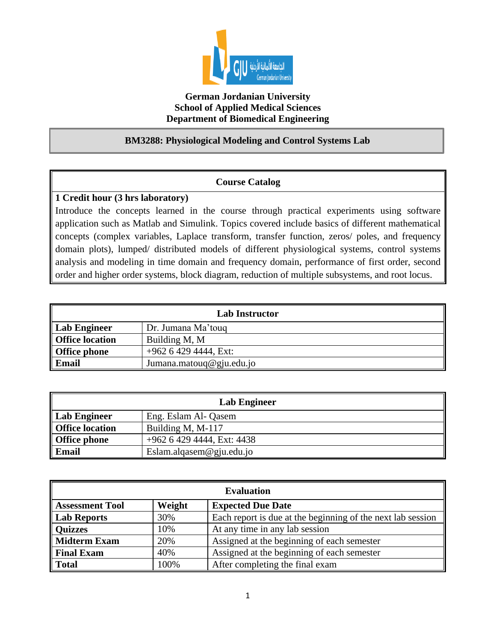

## **German Jordanian University School of Applied Medical Sciences Department of Biomedical Engineering**

## **BM3288: Physiological Modeling and Control Systems Lab**

## **Course Catalog**

## **1 Credit hour (3 hrs laboratory)**

Introduce the concepts learned in the course through practical experiments using software application such as Matlab and Simulink. Topics covered include basics of different mathematical concepts (complex variables, Laplace transform, transfer function, zeros/ poles, and frequency domain plots), lumped/ distributed models of different physiological systems, control systems analysis and modeling in time domain and frequency domain, performance of first order, second order and higher order systems, block diagram, reduction of multiple subsystems, and root locus.

| <b>Lab Instructor</b>  |                          |  |
|------------------------|--------------------------|--|
| <b>Lab Engineer</b>    | Dr. Jumana Ma'touq       |  |
| <b>Office location</b> | Building M, M            |  |
| <b>Office phone</b>    | $+962$ 6 429 4444, Ext:  |  |
| Email                  | Jumana.matouq@gju.edu.jo |  |

| <b>Lab Engineer</b>    |                            |  |
|------------------------|----------------------------|--|
| Lab Engineer           | Eng. Eslam Al- Qasem       |  |
| <b>Office location</b> | Building M, M-117          |  |
| <b>Office phone</b>    | +962 6 429 4444, Ext: 4438 |  |
| <b>Email</b>           | Eslam.alqasem@gju.edu.jo   |  |

| <b>Evaluation</b>      |        |                                                             |
|------------------------|--------|-------------------------------------------------------------|
| <b>Assessment Tool</b> | Weight | <b>Expected Due Date</b>                                    |
| Lab Reports            | 30%    | Each report is due at the beginning of the next lab session |
| <b>Quizzes</b>         | 10%    | At any time in any lab session                              |
| Midterm Exam           | 20%    | Assigned at the beginning of each semester                  |
| Final Exam             | 40%    | Assigned at the beginning of each semester                  |
| Total                  | 100%   | After completing the final exam                             |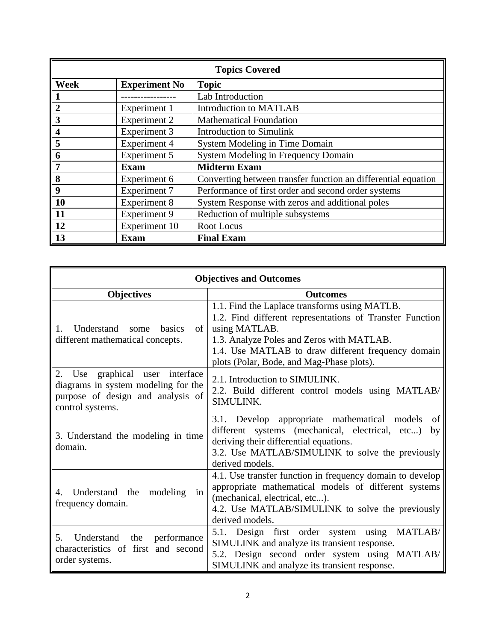| <b>Topics Covered</b> |                      |                                                               |
|-----------------------|----------------------|---------------------------------------------------------------|
| <b>Week</b>           | <b>Experiment No</b> | <b>Topic</b>                                                  |
|                       |                      | Lab Introduction                                              |
| $\overline{2}$        | Experiment 1         | <b>Introduction to MATLAB</b>                                 |
| 3                     | <b>Experiment 2</b>  | <b>Mathematical Foundation</b>                                |
| 4                     | Experiment 3         | <b>Introduction to Simulink</b>                               |
| 5                     | <b>Experiment 4</b>  | System Modeling in Time Domain                                |
| 6                     | Experiment 5         | <b>System Modeling in Frequency Domain</b>                    |
|                       | <b>Exam</b>          | <b>Midterm Exam</b>                                           |
| 8                     | Experiment 6         | Converting between transfer function an differential equation |
| 9                     | <b>Experiment 7</b>  | Performance of first order and second order systems           |
| 10                    | <b>Experiment 8</b>  | System Response with zeros and additional poles               |
| 11                    | <b>Experiment 9</b>  | Reduction of multiple subsystems                              |
| 12                    | Experiment 10        | Root Locus                                                    |
| 13                    | <b>Exam</b>          | <b>Final Exam</b>                                             |

| <b>Objectives and Outcomes</b>                                                                                                     |                                                                                                                                                                                                                                                                            |  |
|------------------------------------------------------------------------------------------------------------------------------------|----------------------------------------------------------------------------------------------------------------------------------------------------------------------------------------------------------------------------------------------------------------------------|--|
| <b>Objectives</b>                                                                                                                  | <b>Outcomes</b>                                                                                                                                                                                                                                                            |  |
| Understand some basics<br>of 1<br>1.<br>different mathematical concepts.                                                           | 1.1. Find the Laplace transforms using MATLB.<br>1.2. Find different representations of Transfer Function<br>using MATLAB.<br>1.3. Analyze Poles and Zeros with MATLAB.<br>1.4. Use MATLAB to draw different frequency domain<br>plots (Polar, Bode, and Mag-Phase plots). |  |
| Use graphical user interface<br>2.<br>diagrams in system modeling for the<br>purpose of design and analysis of<br>control systems. | 2.1. Introduction to SIMULINK.<br>2.2. Build different control models using MATLAB/<br>SIMULINK.                                                                                                                                                                           |  |
| 3. Understand the modeling in time<br>domain.                                                                                      | 3.1. Develop appropriate mathematical models<br>of<br>different systems (mechanical, electrical, etc)<br>by<br>deriving their differential equations.<br>3.2. Use MATLAB/SIMULINK to solve the previously<br>derived models.                                               |  |
| Understand the modeling<br>in<br>4.<br>frequency domain.                                                                           | 4.1. Use transfer function in frequency domain to develop<br>appropriate mathematical models of different systems<br>(mechanical, electrical, etc).<br>4.2. Use MATLAB/SIMULINK to solve the previously<br>derived models.                                                 |  |
| 5.<br>Understand<br>the<br>performance<br>characteristics of first and second<br>order systems.                                    | 5.1. Design first order system using MATLAB/<br>SIMULINK and analyze its transient response.<br>5.2. Design second order system using MATLAB/<br>SIMULINK and analyze its transient response.                                                                              |  |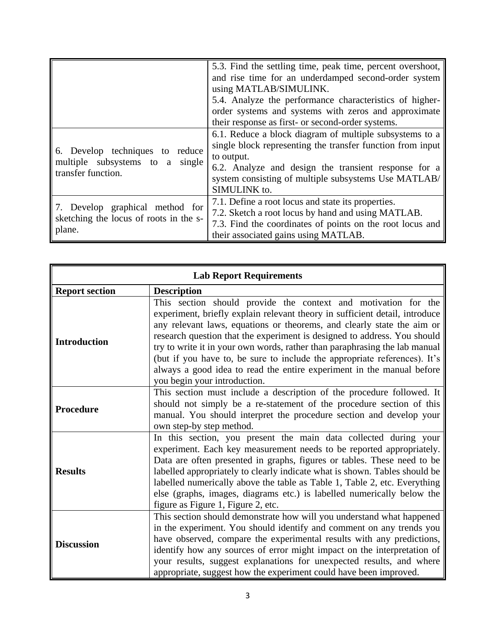|                                                                                          | 5.3. Find the settling time, peak time, percent overshoot,<br>and rise time for an underdamped second-order system<br>using MATLAB/SIMULINK.<br>5.4. Analyze the performance characteristics of higher-<br>order systems and systems with zeros and approximate<br>their response as first- or second-order systems. |
|------------------------------------------------------------------------------------------|----------------------------------------------------------------------------------------------------------------------------------------------------------------------------------------------------------------------------------------------------------------------------------------------------------------------|
| 6. Develop techniques to reduce<br>multiple subsystems to a single<br>transfer function. | 6.1. Reduce a block diagram of multiple subsystems to a<br>single block representing the transfer function from input<br>to output.<br>6.2. Analyze and design the transient response for a<br>system consisting of multiple subsystems Use MATLAB/<br>SIMULINK to.                                                  |
| 7. Develop graphical method for<br>sketching the locus of roots in the s-<br>plane.      | 7.1. Define a root locus and state its properties.<br>7.2. Sketch a root locus by hand and using MATLAB.<br>7.3. Find the coordinates of points on the root locus and<br>their associated gains using MATLAB.                                                                                                        |

| <b>Lab Report Requirements</b> |                                                                                                                                                                                                                                                                                                                                                                                                                                                                                                                                                                         |  |
|--------------------------------|-------------------------------------------------------------------------------------------------------------------------------------------------------------------------------------------------------------------------------------------------------------------------------------------------------------------------------------------------------------------------------------------------------------------------------------------------------------------------------------------------------------------------------------------------------------------------|--|
| <b>Report section</b>          | <b>Description</b>                                                                                                                                                                                                                                                                                                                                                                                                                                                                                                                                                      |  |
| <b>Introduction</b>            | This section should provide the context and motivation for the<br>experiment, briefly explain relevant theory in sufficient detail, introduce<br>any relevant laws, equations or theorems, and clearly state the aim or<br>research question that the experiment is designed to address. You should<br>try to write it in your own words, rather than paraphrasing the lab manual<br>(but if you have to, be sure to include the appropriate references). It's<br>always a good idea to read the entire experiment in the manual before<br>you begin your introduction. |  |
| <b>Procedure</b>               | This section must include a description of the procedure followed. It<br>should not simply be a re-statement of the procedure section of this<br>manual. You should interpret the procedure section and develop your<br>own step-by step method.                                                                                                                                                                                                                                                                                                                        |  |
| <b>Results</b>                 | In this section, you present the main data collected during your<br>experiment. Each key measurement needs to be reported appropriately.<br>Data are often presented in graphs, figures or tables. These need to be<br>labelled appropriately to clearly indicate what is shown. Tables should be<br>labelled numerically above the table as Table 1, Table 2, etc. Everything<br>else (graphs, images, diagrams etc.) is labelled numerically below the<br>figure as Figure 1, Figure 2, etc.                                                                          |  |
| <b>Discussion</b>              | This section should demonstrate how will you understand what happened<br>in the experiment. You should identify and comment on any trends you<br>have observed, compare the experimental results with any predictions,<br>identify how any sources of error might impact on the interpretation of<br>your results, suggest explanations for unexpected results, and where<br>appropriate, suggest how the experiment could have been improved.                                                                                                                          |  |